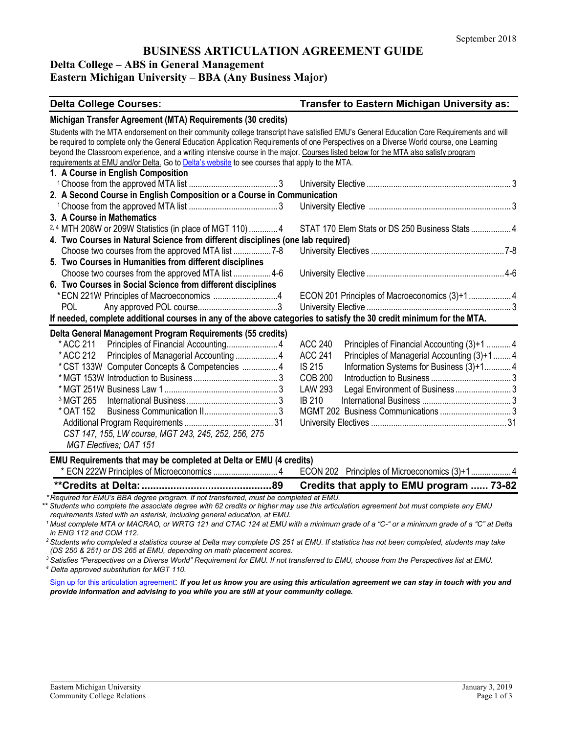### **BUSINESS ARTICULATION AGREEMENT GUIDE**

#### **Delta College – ABS in General Management**

#### **Eastern Michigan University – BBA (Any Business Major)**

| <b>Delta College Courses:</b>                                                                                                             | Transfer to Eastern Michigan University as:                    |  |
|-------------------------------------------------------------------------------------------------------------------------------------------|----------------------------------------------------------------|--|
| Michigan Transfer Agreement (MTA) Requirements (30 credits)                                                                               |                                                                |  |
| Students with the MTA endorsement on their community college transcript have satisfied EMU's General Education Core Requirements and will |                                                                |  |
| be required to complete only the General Education Application Requirements of one Perspectives on a Diverse World course, one Learning   |                                                                |  |
| beyond the Classroom experience, and a writing intensive course in the major. Courses listed below for the MTA also satisfy program       |                                                                |  |
| requirements at EMU and/or Delta. Go to Delta's website to see courses that apply to the MTA.                                             |                                                                |  |
| 1. A Course in English Composition                                                                                                        |                                                                |  |
|                                                                                                                                           |                                                                |  |
| 2. A Second Course in English Composition or a Course in Communication                                                                    |                                                                |  |
|                                                                                                                                           |                                                                |  |
| 3. A Course in Mathematics                                                                                                                |                                                                |  |
| 2,4 MTH 208W or 209W Statistics (in place of MGT 110)  4                                                                                  | STAT 170 Elem Stats or DS 250 Business Stats 4                 |  |
| 4. Two Courses in Natural Science from different disciplines (one lab required)                                                           |                                                                |  |
|                                                                                                                                           |                                                                |  |
| 5. Two Courses in Humanities from different disciplines                                                                                   |                                                                |  |
| Choose two courses from the approved MTA list 4-6                                                                                         |                                                                |  |
| 6. Two Courses in Social Science from different disciplines                                                                               |                                                                |  |
|                                                                                                                                           | ECON 201 Principles of Macroeconomics (3)+1 4                  |  |
| POL                                                                                                                                       |                                                                |  |
| If needed, complete additional courses in any of the above categories to satisfy the 30 credit minimum for the MTA.                       |                                                                |  |
| Delta General Management Program Requirements (55 credits)                                                                                |                                                                |  |
| * ACC 211                                                                                                                                 | <b>ACC 240</b><br>Principles of Financial Accounting (3)+1  4  |  |
| * ACC 212<br>Principles of Managerial Accounting  4                                                                                       | <b>ACC 241</b><br>Principles of Managerial Accounting (3)+1  4 |  |
| *CST 133W Computer Concepts & Competencies  4                                                                                             | <b>IS 215</b><br>Information Systems for Business (3)+14       |  |
|                                                                                                                                           | <b>COB 200</b>                                                 |  |
|                                                                                                                                           | Legal Environment of Business  3<br><b>LAW 293</b>             |  |
| <sup>3</sup> MGT 265                                                                                                                      | <b>IB 210</b>                                                  |  |
| * OAT 152                                                                                                                                 |                                                                |  |
|                                                                                                                                           |                                                                |  |
| CST 147, 155, LW course, MGT 243, 245, 252, 256, 275                                                                                      |                                                                |  |
| MGT Electives; OAT 151                                                                                                                    |                                                                |  |
| EMU Requirements that may be completed at Delta or EMU (4 credits)                                                                        |                                                                |  |
|                                                                                                                                           | ECON 202 Principles of Microeconomics (3)+1 4                  |  |
|                                                                                                                                           | Credits that apply to EMU program  73-82                       |  |
| *Required for EMU's BBA degree program. If not transferred, must be completed at EMU.                                                     |                                                                |  |
| Students who complete the associate degree with 62 credits or higher may use this articulation agreement but must complete any EMU        |                                                                |  |
| requirements listed with an asterisk, including general education, at EMU.                                                                |                                                                |  |

*1 Must complete MTA or MACRAO, or WRTG 121 and CTAC 124 at EMU with a minimum grade of a "C-" or a minimum grade of a "C" at Delta in ENG 112 and COM 112.*

*2 Students who completed a statistics course at Delta may complete DS 251 at EMU. If statistics has not been completed, students may take (DS 250 & 251) or DS 265 at EMU, depending on math placement scores.*

*<sup>3</sup> Satisfies "Perspectives on a Diverse World" Requirement for EMU. If not transferred to EMU, choose from the Perspectives list at EMU. <sup>4</sup> Delta approved substitution for MGT 110.* 

[Sign up for this articulation agreement](http://www.emich.edu/ccr/articulation-agreements/signup.php): *If you let us know you are using this articulation agreement we can stay in touch with you and provide information and advising to you while you are still at your community college.*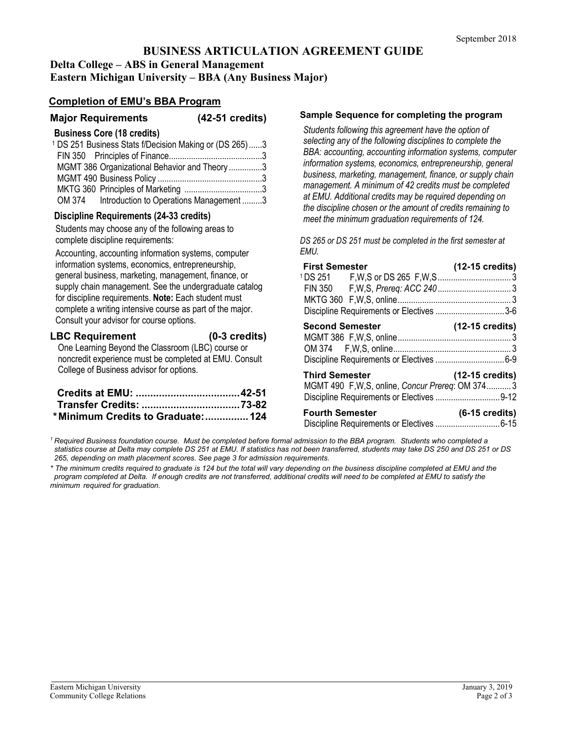# **BUSINESS ARTICULATION AGREEMENT GUIDE Delta College – ABS in General Management**

**Eastern Michigan University – BBA (Any Business Major)**

## **Completion of EMU's BBA Program**

**Major Requirements (42-51 credits)**

### **Business Core (18 credits)**

|  | <b>PRONOUT PUIP</b> (19 DIVANO)                                   |  |
|--|-------------------------------------------------------------------|--|
|  | <sup>1</sup> DS 251 Business Stats f/Decision Making or (DS 265)3 |  |
|  |                                                                   |  |
|  | MGMT 386 Organizational Behavior and Theory 3                     |  |
|  |                                                                   |  |
|  |                                                                   |  |
|  | OM 374 Introduction to Operations Management 3                    |  |
|  |                                                                   |  |

### **Discipline Requirements (24-33 credits)**

Students may choose any of the following areas to complete discipline requirements:

Accounting, accounting information systems, computer information systems, economics, entrepreneurship, general business, marketing, management, finance, or supply chain management. See the undergraduate catalog for discipline requirements. **Note:** Each student must complete a writing intensive course as part of the major. Consult your advisor for course options.

#### **LBC Requirement (0-3 credits)**

One Learning Beyond the Classroom (LBC) course or noncredit experience must be completed at EMU. Consult College of Business advisor for options.

| *Minimum Credits to Graduate:  124 |  |
|------------------------------------|--|

#### **Sample Sequence for completing the program**

*Students following this agreement have the option of selecting any of the following disciplines to complete the BBA: accounting, accounting information systems, computer information systems, economics, entrepreneurship, general business, marketing, management, finance, or supply chain management. A minimum of 42 credits must be completed at EMU. Additional credits may be required depending on the discipline chosen or the amount of credits remaining to meet the minimum graduation requirements of 124.* 

*DS 265 or DS 251 must be completed in the first semester at EMU.*

| <b>First Semester</b>                                                   | $(12-15 \text{ credits})$ |
|-------------------------------------------------------------------------|---------------------------|
|                                                                         |                           |
| Discipline Requirements or Electives 3-6<br><b>Second Semester</b>      | (12-15 credits)           |
|                                                                         |                           |
| <b>Third Semester</b><br>MGMT 490 F,W,S, online, Concur Prereq: OM 3743 | $(12-15 \text{ credits})$ |
| <b>Fourth Semester</b>                                                  | $(6-15 \text{ credits})$  |

*<sup>1</sup> Required Business foundation course. Must be completed before formal admission to the BBA program. Students who completed a statistics course at Delta may complete DS 251 at EMU. If statistics has not been transferred, students may take DS 250 and DS 251 or DS 265, depending on math placement scores. See page 3 for admission requirements.*

*\* The minimum credits required to graduate is 124 but the total will vary depending on the business discipline completed at EMU and the program completed at Delta. If enough credits are not transferred, additional credits will need to be completed at EMU to satisfy the minimum required for graduation.*